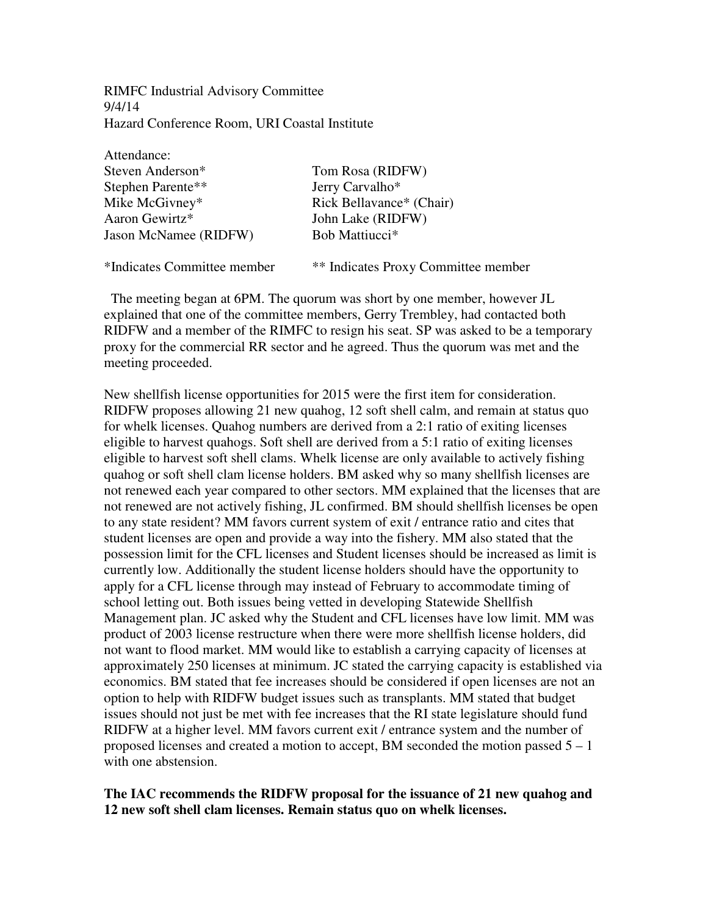RIMFC Industrial Advisory Committee 9/4/14 Hazard Conference Room, URI Coastal Institute

| Attendance:                  |                            |
|------------------------------|----------------------------|
| Steven Anderson*             | Tom Rosa (RIDFW)           |
| Stephen Parente**            | Jerry Carvalho*            |
| Mike McGivney*               | Rick Bellavance* (Chair)   |
| Aaron Gewirtz*               | John Lake (RIDFW)          |
| <b>Jason McNamee (RIDFW)</b> | Bob Mattiucci <sup>*</sup> |
|                              |                            |
|                              |                            |

\*Indicates Committee member \*\* Indicates Proxy Committee member

 The meeting began at 6PM. The quorum was short by one member, however JL explained that one of the committee members, Gerry Trembley, had contacted both RIDFW and a member of the RIMFC to resign his seat. SP was asked to be a temporary proxy for the commercial RR sector and he agreed. Thus the quorum was met and the meeting proceeded.

New shellfish license opportunities for 2015 were the first item for consideration. RIDFW proposes allowing 21 new quahog, 12 soft shell calm, and remain at status quo for whelk licenses. Quahog numbers are derived from a 2:1 ratio of exiting licenses eligible to harvest quahogs. Soft shell are derived from a 5:1 ratio of exiting licenses eligible to harvest soft shell clams. Whelk license are only available to actively fishing quahog or soft shell clam license holders. BM asked why so many shellfish licenses are not renewed each year compared to other sectors. MM explained that the licenses that are not renewed are not actively fishing, JL confirmed. BM should shellfish licenses be open to any state resident? MM favors current system of exit / entrance ratio and cites that student licenses are open and provide a way into the fishery. MM also stated that the possession limit for the CFL licenses and Student licenses should be increased as limit is currently low. Additionally the student license holders should have the opportunity to apply for a CFL license through may instead of February to accommodate timing of school letting out. Both issues being vetted in developing Statewide Shellfish Management plan. JC asked why the Student and CFL licenses have low limit. MM was product of 2003 license restructure when there were more shellfish license holders, did not want to flood market. MM would like to establish a carrying capacity of licenses at approximately 250 licenses at minimum. JC stated the carrying capacity is established via economics. BM stated that fee increases should be considered if open licenses are not an option to help with RIDFW budget issues such as transplants. MM stated that budget issues should not just be met with fee increases that the RI state legislature should fund RIDFW at a higher level. MM favors current exit / entrance system and the number of proposed licenses and created a motion to accept, BM seconded the motion passed  $5 - 1$ with one abstension.

#### **The IAC recommends the RIDFW proposal for the issuance of 21 new quahog and 12 new soft shell clam licenses. Remain status quo on whelk licenses.**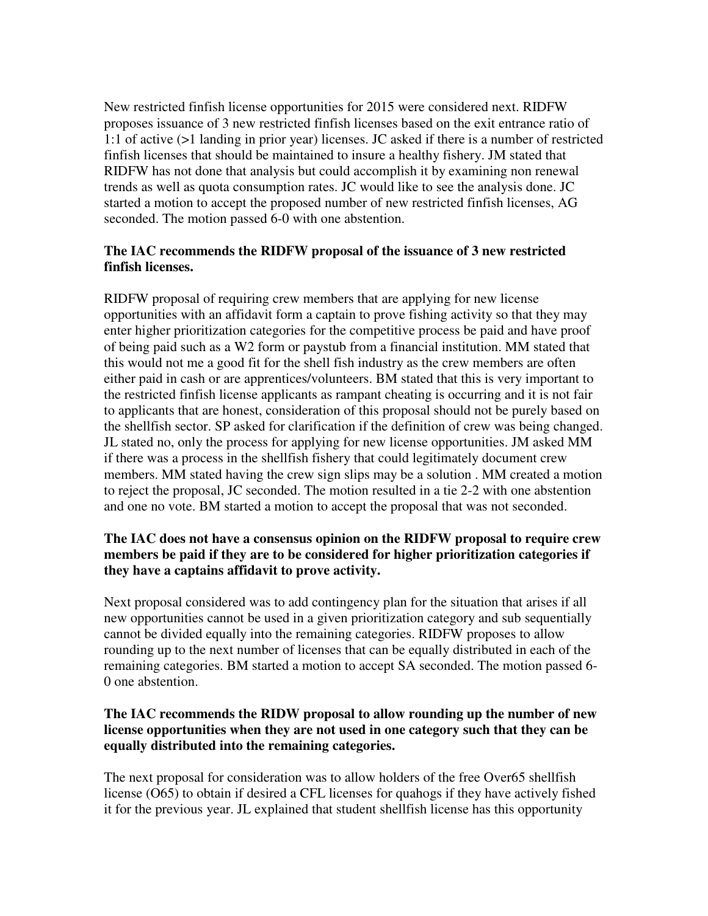New restricted finfish license opportunities for 2015 were considered next. RIDFW proposes issuance of 3 new restricted finfish licenses based on the exit entrance ratio of 1:1 of active (>1 landing in prior year) licenses. JC asked if there is a number of restricted finfish licenses that should be maintained to insure a healthy fishery. JM stated that RIDFW has not done that analysis but could accomplish it by examining non renewal trends as well as quota consumption rates. JC would like to see the analysis done. JC started a motion to accept the proposed number of new restricted finfish licenses, AG seconded. The motion passed 6-0 with one abstention.

#### **The IAC recommends the RIDFW proposal of the issuance of 3 new restricted finfish licenses.**

RIDFW proposal of requiring crew members that are applying for new license opportunities with an affidavit form a captain to prove fishing activity so that they may enter higher prioritization categories for the competitive process be paid and have proof of being paid such as a W2 form or paystub from a financial institution. MM stated that this would not me a good fit for the shell fish industry as the crew members are often either paid in cash or are apprentices/volunteers. BM stated that this is very important to the restricted finfish license applicants as rampant cheating is occurring and it is not fair to applicants that are honest, consideration of this proposal should not be purely based on the shellfish sector. SP asked for clarification if the definition of crew was being changed. JL stated no, only the process for applying for new license opportunities. JM asked MM if there was a process in the shellfish fishery that could legitimately document crew members. MM stated having the crew sign slips may be a solution . MM created a motion to reject the proposal, JC seconded. The motion resulted in a tie 2-2 with one abstention and one no vote. BM started a motion to accept the proposal that was not seconded.

# **The IAC does not have a consensus opinion on the RIDFW proposal to require crew members be paid if they are to be considered for higher prioritization categories if they have a captains affidavit to prove activity.**

Next proposal considered was to add contingency plan for the situation that arises if all new opportunities cannot be used in a given prioritization category and sub sequentially cannot be divided equally into the remaining categories. RIDFW proposes to allow rounding up to the next number of licenses that can be equally distributed in each of the remaining categories. BM started a motion to accept SA seconded. The motion passed 6- 0 one abstention.

### **The IAC recommends the RIDW proposal to allow rounding up the number of new license opportunities when they are not used in one category such that they can be equally distributed into the remaining categories.**

The next proposal for consideration was to allow holders of the free Over65 shellfish license (O65) to obtain if desired a CFL licenses for quahogs if they have actively fished it for the previous year. JL explained that student shellfish license has this opportunity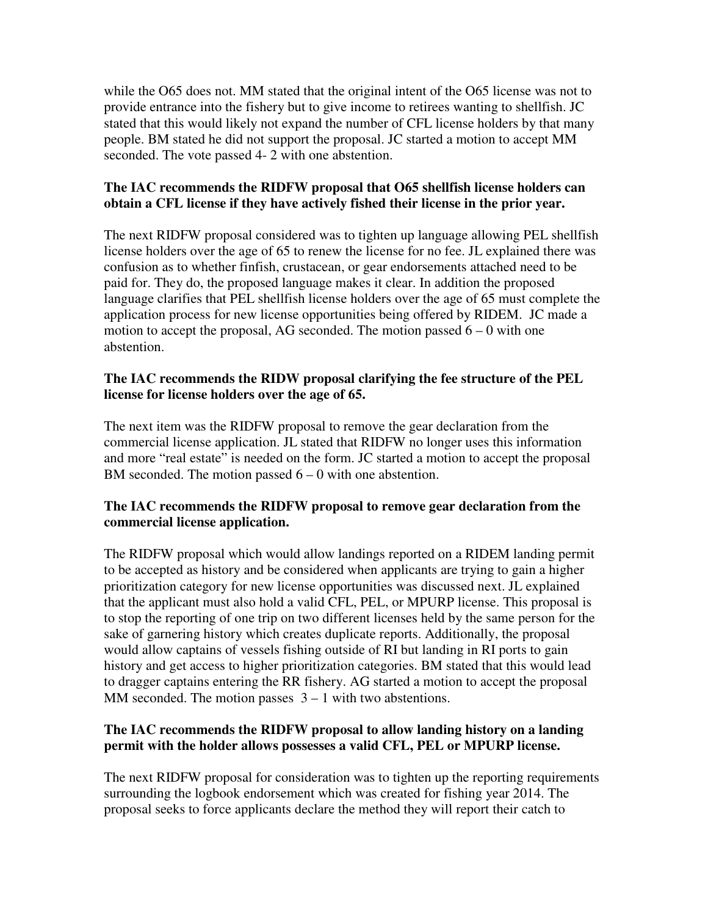while the O65 does not. MM stated that the original intent of the O65 license was not to provide entrance into the fishery but to give income to retirees wanting to shellfish. JC stated that this would likely not expand the number of CFL license holders by that many people. BM stated he did not support the proposal. JC started a motion to accept MM seconded. The vote passed 4- 2 with one abstention.

### **The IAC recommends the RIDFW proposal that O65 shellfish license holders can obtain a CFL license if they have actively fished their license in the prior year.**

The next RIDFW proposal considered was to tighten up language allowing PEL shellfish license holders over the age of 65 to renew the license for no fee. JL explained there was confusion as to whether finfish, crustacean, or gear endorsements attached need to be paid for. They do, the proposed language makes it clear. In addition the proposed language clarifies that PEL shellfish license holders over the age of 65 must complete the application process for new license opportunities being offered by RIDEM. JC made a motion to accept the proposal, AG seconded. The motion passed  $6 - 0$  with one abstention.

#### **The IAC recommends the RIDW proposal clarifying the fee structure of the PEL license for license holders over the age of 65.**

The next item was the RIDFW proposal to remove the gear declaration from the commercial license application. JL stated that RIDFW no longer uses this information and more "real estate" is needed on the form. JC started a motion to accept the proposal BM seconded. The motion passed  $6 - 0$  with one abstention.

# **The IAC recommends the RIDFW proposal to remove gear declaration from the commercial license application.**

The RIDFW proposal which would allow landings reported on a RIDEM landing permit to be accepted as history and be considered when applicants are trying to gain a higher prioritization category for new license opportunities was discussed next. JL explained that the applicant must also hold a valid CFL, PEL, or MPURP license. This proposal is to stop the reporting of one trip on two different licenses held by the same person for the sake of garnering history which creates duplicate reports. Additionally, the proposal would allow captains of vessels fishing outside of RI but landing in RI ports to gain history and get access to higher prioritization categories. BM stated that this would lead to dragger captains entering the RR fishery. AG started a motion to accept the proposal MM seconded. The motion passes  $3 - 1$  with two abstentions.

### **The IAC recommends the RIDFW proposal to allow landing history on a landing permit with the holder allows possesses a valid CFL, PEL or MPURP license.**

The next RIDFW proposal for consideration was to tighten up the reporting requirements surrounding the logbook endorsement which was created for fishing year 2014. The proposal seeks to force applicants declare the method they will report their catch to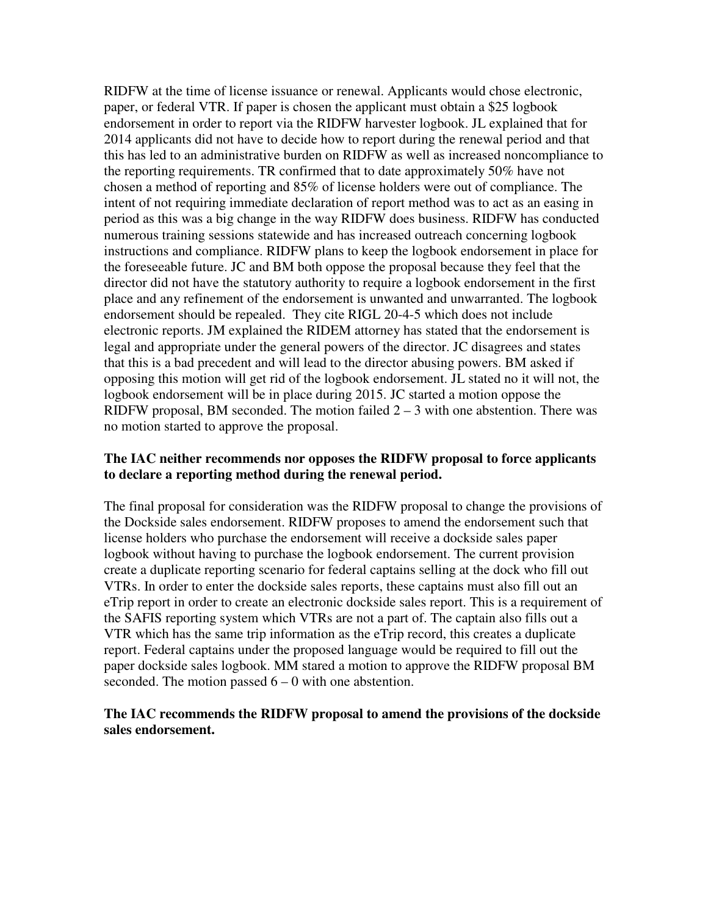RIDFW at the time of license issuance or renewal. Applicants would chose electronic, paper, or federal VTR. If paper is chosen the applicant must obtain a \$25 logbook endorsement in order to report via the RIDFW harvester logbook. JL explained that for 2014 applicants did not have to decide how to report during the renewal period and that this has led to an administrative burden on RIDFW as well as increased noncompliance to the reporting requirements. TR confirmed that to date approximately 50% have not chosen a method of reporting and 85% of license holders were out of compliance. The intent of not requiring immediate declaration of report method was to act as an easing in period as this was a big change in the way RIDFW does business. RIDFW has conducted numerous training sessions statewide and has increased outreach concerning logbook instructions and compliance. RIDFW plans to keep the logbook endorsement in place for the foreseeable future. JC and BM both oppose the proposal because they feel that the director did not have the statutory authority to require a logbook endorsement in the first place and any refinement of the endorsement is unwanted and unwarranted. The logbook endorsement should be repealed. They cite RIGL 20-4-5 which does not include electronic reports. JM explained the RIDEM attorney has stated that the endorsement is legal and appropriate under the general powers of the director. JC disagrees and states that this is a bad precedent and will lead to the director abusing powers. BM asked if opposing this motion will get rid of the logbook endorsement. JL stated no it will not, the logbook endorsement will be in place during 2015. JC started a motion oppose the RIDFW proposal, BM seconded. The motion failed  $2 - 3$  with one abstention. There was no motion started to approve the proposal.

#### **The IAC neither recommends nor opposes the RIDFW proposal to force applicants to declare a reporting method during the renewal period.**

The final proposal for consideration was the RIDFW proposal to change the provisions of the Dockside sales endorsement. RIDFW proposes to amend the endorsement such that license holders who purchase the endorsement will receive a dockside sales paper logbook without having to purchase the logbook endorsement. The current provision create a duplicate reporting scenario for federal captains selling at the dock who fill out VTRs. In order to enter the dockside sales reports, these captains must also fill out an eTrip report in order to create an electronic dockside sales report. This is a requirement of the SAFIS reporting system which VTRs are not a part of. The captain also fills out a VTR which has the same trip information as the eTrip record, this creates a duplicate report. Federal captains under the proposed language would be required to fill out the paper dockside sales logbook. MM stared a motion to approve the RIDFW proposal BM seconded. The motion passed  $6 - 0$  with one abstention.

#### **The IAC recommends the RIDFW proposal to amend the provisions of the dockside sales endorsement.**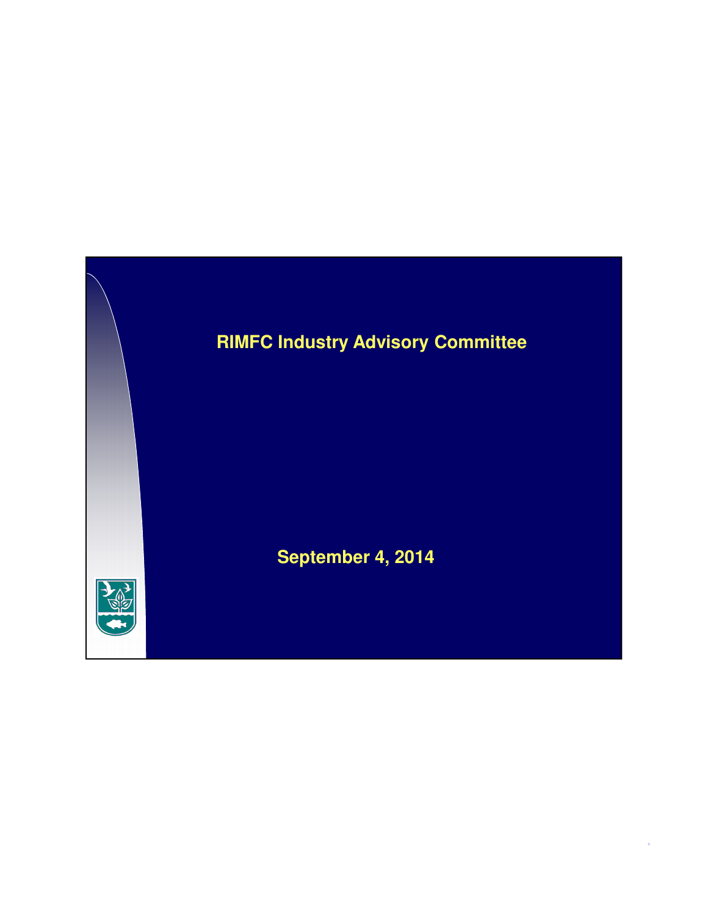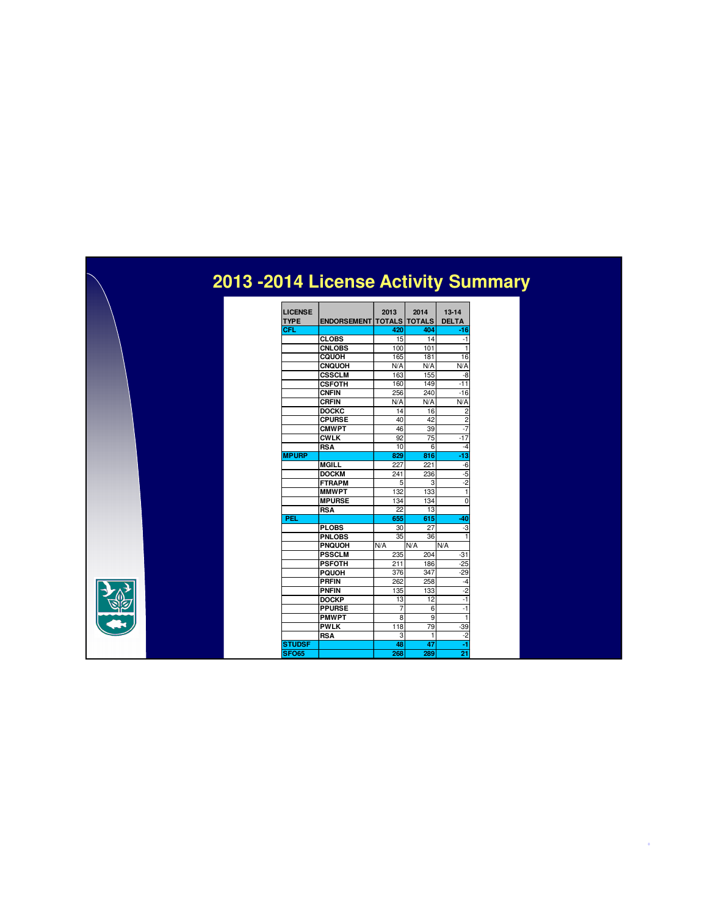# **2013 -2014 License Activity Summary**

| <b>LICENSE</b> |                    | 2013            | 2014                 | $13 - 14$      |
|----------------|--------------------|-----------------|----------------------|----------------|
| <b>TYPE</b>    | <b>ENDORSEMENT</b> |                 | <b>TOTALS TOTALS</b> | <b>DELTA</b>   |
| CFL            |                    | 420             | 404                  | -16            |
|                | <b>CLOBS</b>       | 15              | 14                   | $-1$           |
|                | <b>CNLOBS</b>      | 100             | 101                  | 1              |
|                | CQUOH              | 165             | 181                  | 16             |
|                | <b>CNQUOH</b>      | N/A             | N/A                  | N/A            |
|                | <b>CSSCLM</b>      | 163             | 155                  | -8             |
|                | <b>CSFOTH</b>      | 160             | 149                  | -11            |
|                | <b>CNFIN</b>       | 256             | 240                  | $-16$          |
|                | <b>CRFIN</b>       | N/A             | N/A                  | N/A            |
|                | <b>DOCKC</b>       | 14              | 16                   | $\overline{2}$ |
|                | <b>CPURSE</b>      | 40              | 42                   | $\overline{2}$ |
|                | <b>CMWPT</b>       | 46              | 39                   | $-7$           |
|                | <b>CWLK</b>        | 92              | 75                   | $-17$          |
|                | <b>RSA</b>         | 10              | 6                    | $-4$           |
| <b>MPURP</b>   |                    | 829             | 816                  | -13            |
|                | <b>MGILL</b>       | 227             | 221                  | $-6$           |
|                | <b>DOCKM</b>       | 241             | 236                  | $-5$           |
|                | <b>FTRAPM</b>      | 5               | 3                    | $-2$           |
|                | <b>MMWPT</b>       | 132             | 133                  | 1              |
|                | <b>MPURSE</b>      | 134             | 134                  | $\Omega$       |
|                | <b>RSA</b>         | 22              | 13                   |                |
| PEL            |                    | 655             | 615                  | -40            |
|                | <b>PLOBS</b>       | 30              | 27                   | -3             |
|                | <b>PNLOBS</b>      | $\overline{35}$ | 36                   | 1              |
|                | <b>PNQUOH</b>      | N/A             | N/A                  | N/A            |
|                | <b>PSSCLM</b>      | 235             | 204                  | $-31$          |
|                | <b>PSFOTH</b>      | 211             | 186                  | $-25$          |
|                | <b>PQUOH</b>       | 376             | 347                  | $-29$          |
|                | <b>PRFIN</b>       | 262             | 258                  | $-4$           |
|                | <b>PNFIN</b>       | 135             | 133                  | $-2$           |
|                | <b>DOCKP</b>       | 13              | 12                   | $-1$           |
|                | <b>PPURSE</b>      | 7               | 6                    | $-1$           |
|                | <b>PMWPT</b>       | 8               | 9                    | 1              |
|                | <b>PWLK</b>        | 118             | 79                   | $-39$          |
|                | <b>RSA</b>         | 3               | 1                    | $-2$           |
| <b>STUDSF</b>  |                    | 48              | 47                   | -1             |
| <b>SFO65</b>   |                    | 268             | 289                  | 21             |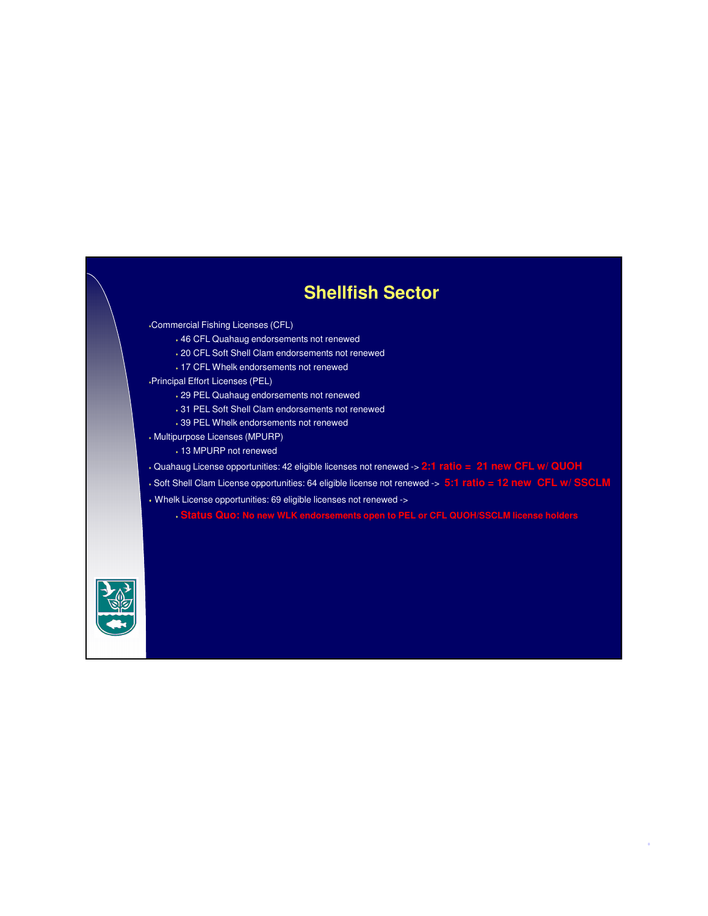# **Shellfish Sector**

Commercial Fishing Licenses (CFL)

- 46 CFL Quahaug endorsements not renewed
- 20 CFL Soft Shell Clam endorsements not renewed
- 17 CFL Whelk endorsements not renewed

Principal Effort Licenses (PEL)

- 29 PEL Quahaug endorsements not renewed
- 31 PEL Soft Shell Clam endorsements not renewed
- 39 PEL Whelk endorsements not renewed
- Multipurpose Licenses (MPURP)
	- 13 MPURP not renewed
- Quahaug License opportunities: 42 eligible licenses not renewed -> **2:1 ratio = 21 new CFL w/ QUOH**
- Soft Shell Clam License opportunities: 64 eligible license not renewed -> **5:1 ratio = 12 new CFL w/ SSCLM**
- Whelk License opportunities: 69 eligible licenses not renewed ->

**Status Quo: No new WLK endorsements open to PEL or CFL QUOH/SSCLM license holders**

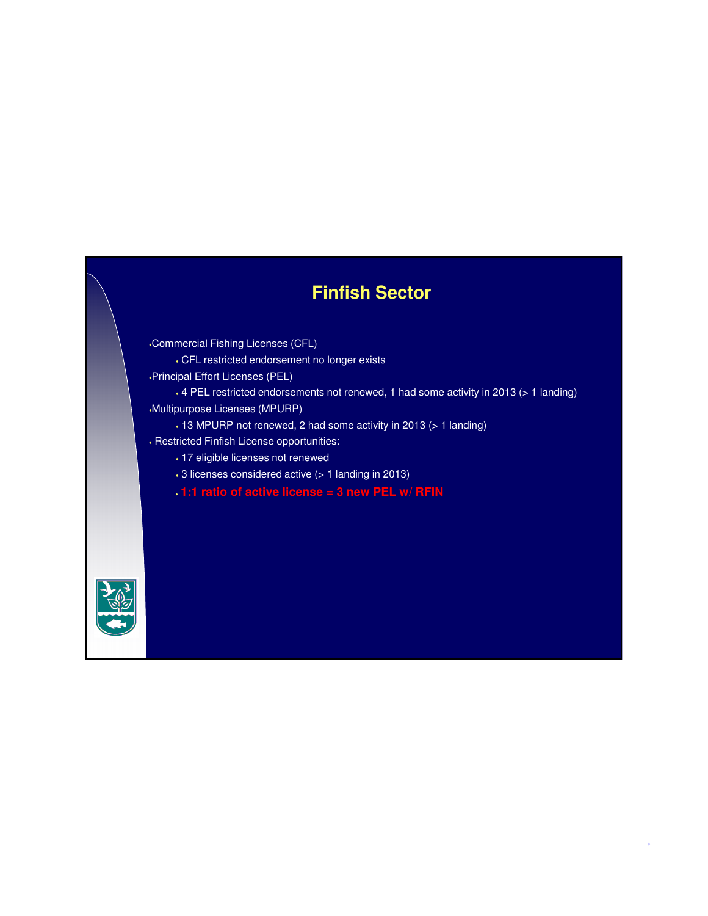# **Finfish Sector**

Commercial Fishing Licenses (CFL)

CFL restricted endorsement no longer exists

Principal Effort Licenses (PEL)

 4 PEL restricted endorsements not renewed, 1 had some activity in 2013 (> 1 landing) Multipurpose Licenses (MPURP)

4

13 MPURP not renewed, 2 had some activity in 2013 (> 1 landing)

- Restricted Finfish License opportunities:
	- 17 eligible licenses not renewed
	- 3 licenses considered active (> 1 landing in 2013)
	- **1:1 ratio of active license = 3 new PEL w/ RFIN**

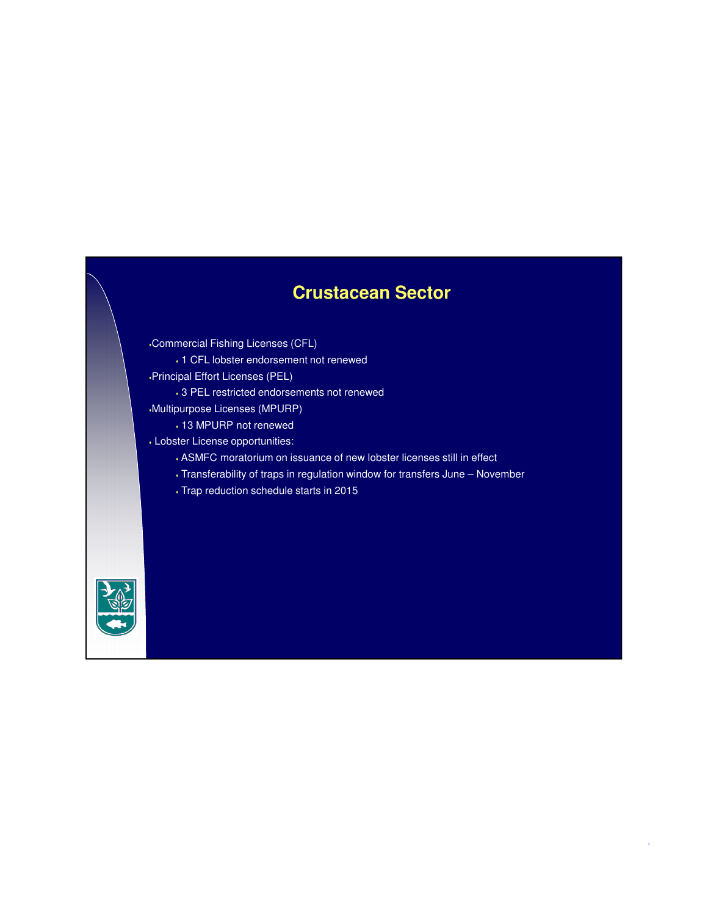# **Crustacean Sector**

Commercial Fishing Licenses (CFL)

1 CFL lobster endorsement not renewed

Principal Effort Licenses (PEL)

3 PEL restricted endorsements not renewed

Multipurpose Licenses (MPURP)

- 13 MPURP not renewed
- Lobster License opportunities:
	- ASMFC moratorium on issuance of new lobster licenses still in effect
	- Transferability of traps in regulation window for transfers June November

5

Trap reduction schedule starts in 2015

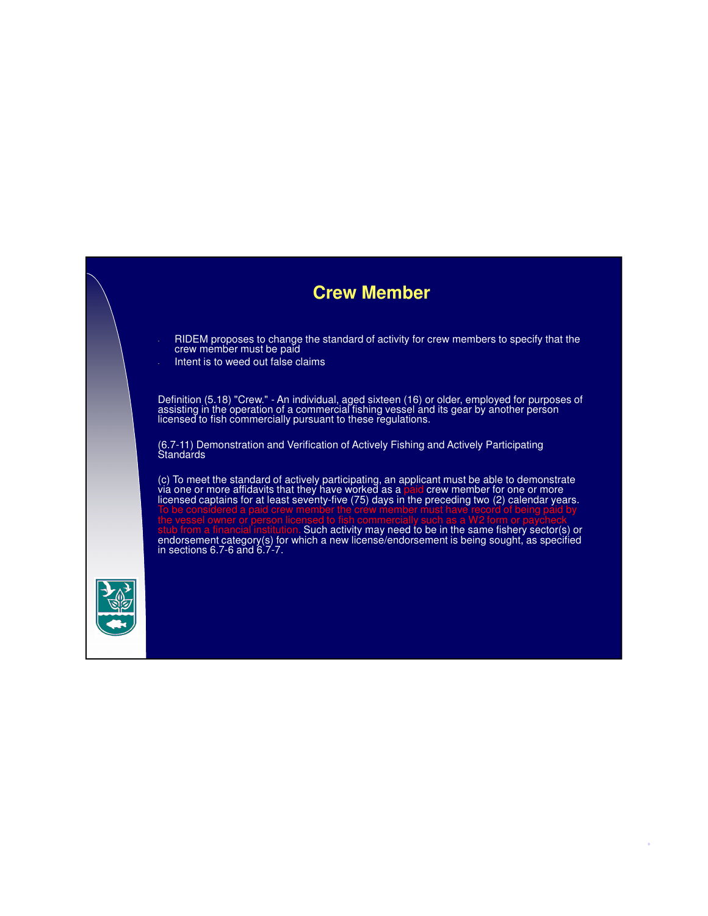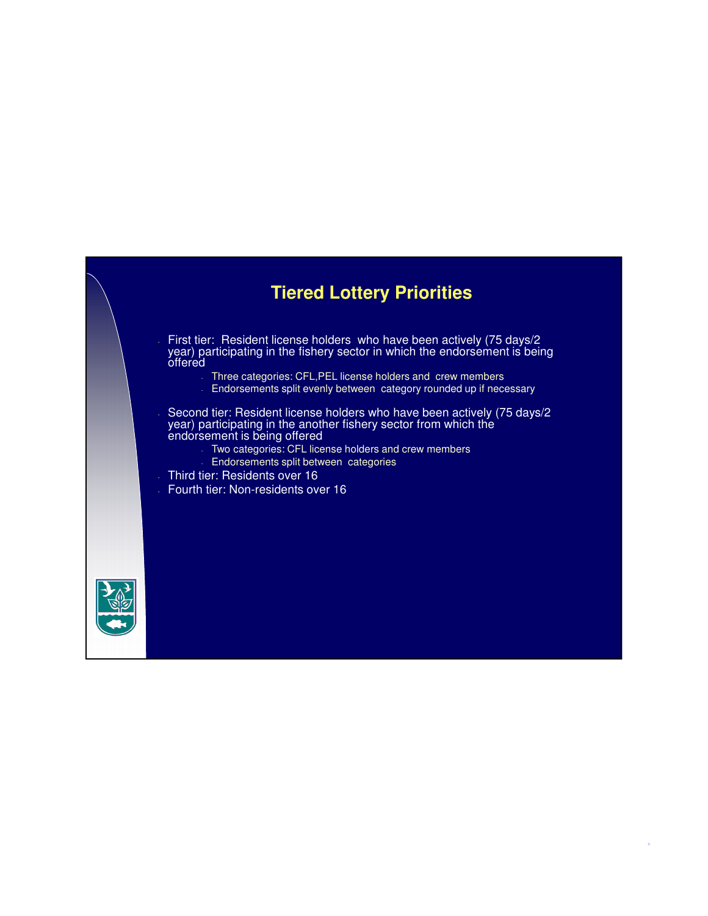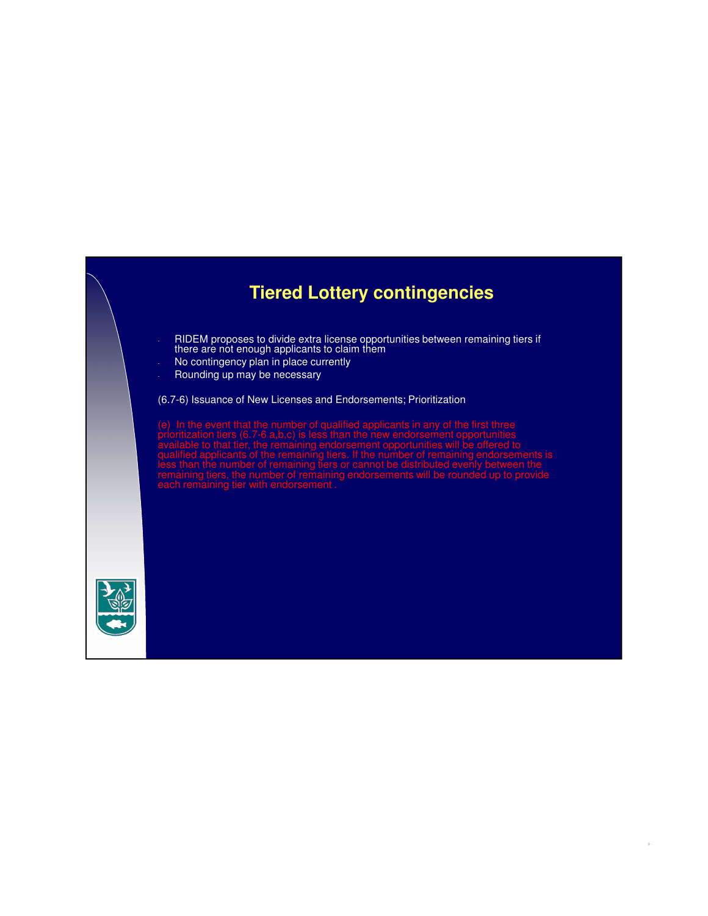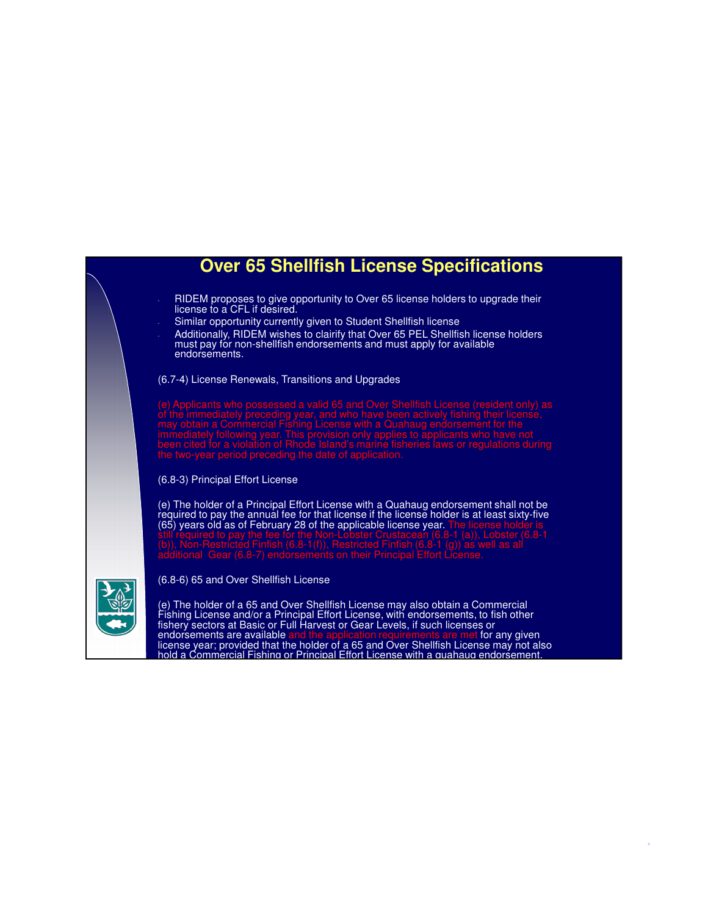

license year; provided that the holder of a 65 and Over Shellfish License may not also hold a Commercial Fishing or Principal Effort License with a quahaug endorsement.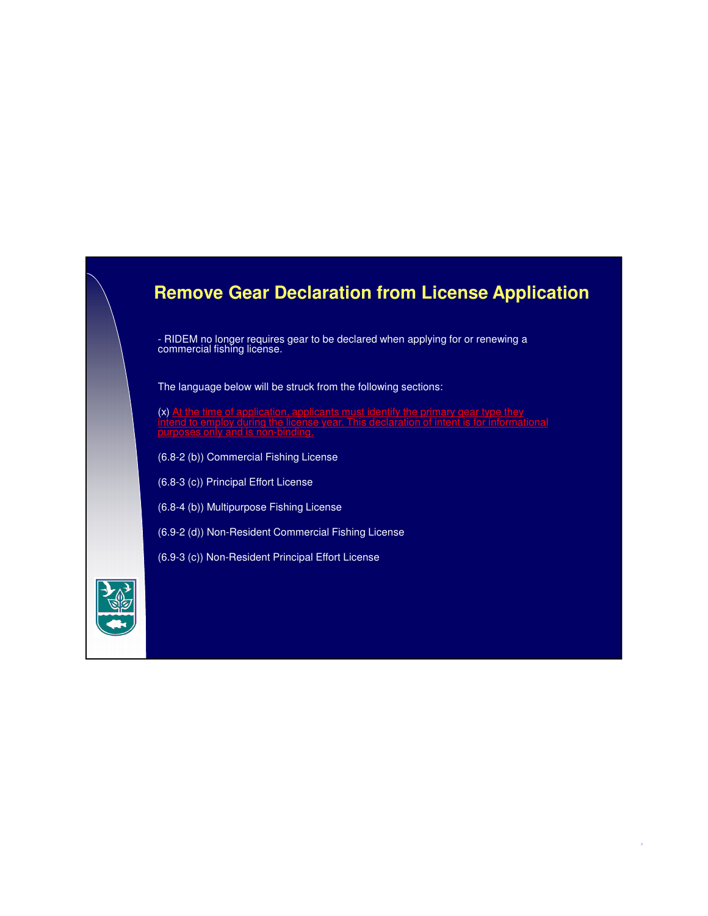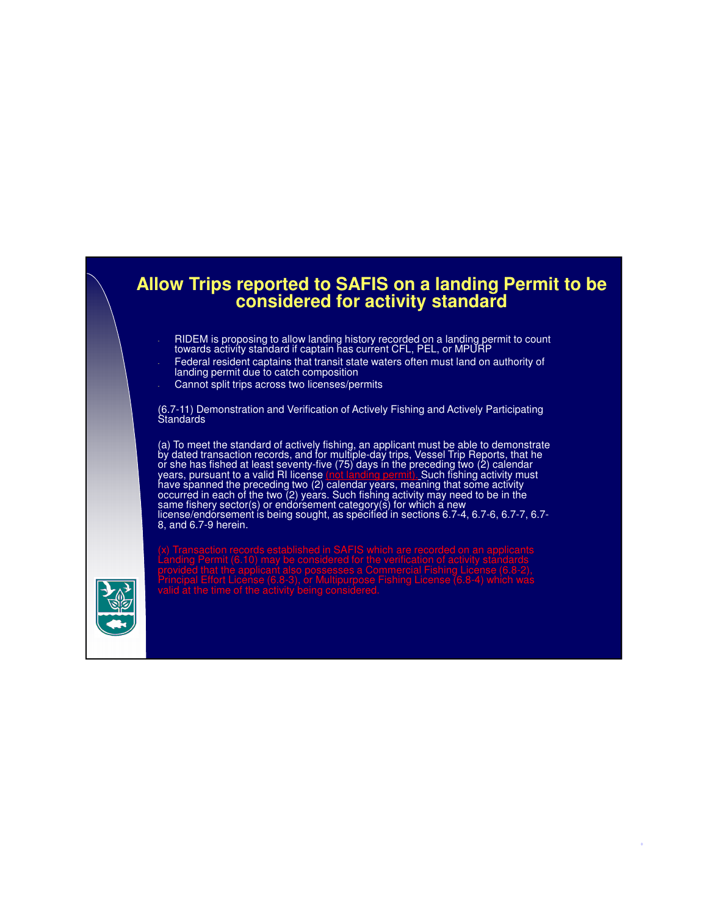

- RIDEM is proposing to allow landing history recorded on a landing permit to count towards activity standard if captain has current CFL, PEL, or MPURP
- Federal resident captains that transit state waters often must land on authority of landing permit due to catch composition
- Cannot split trips across two licenses/permits

(6.7-11) Demonstration and Verification of Actively Fishing and Actively Participating **Standards** 

(a) To meet the standard of actively fishing, an applicant must be able to demonstrate by dated transaction records, and for multiple-day trips, Vessel Trip Reports, that he or she has fished at least seventy-five (75) days in the preceding two (2) calendar years, pursuant to a valid RI license <u>(not landing permit). </u>Such fishing activity must have spanned the preceding two (2) calendar years, meaning that some activity occurred in each of the two (2) years. Such fishing activity may need to be in the same fishery sector(s) or endorsement category(s) for which a new license/endorsement is being sought, as specified in sections 6.7-4, 6.7-6, 6.7-7, 6.7- 8, and 6.7-9 herein.



(x) Transaction records established in SAFIS which are recorded on an applicants provided that the applicant also possesses a Commercial Fishing License (6.8-2),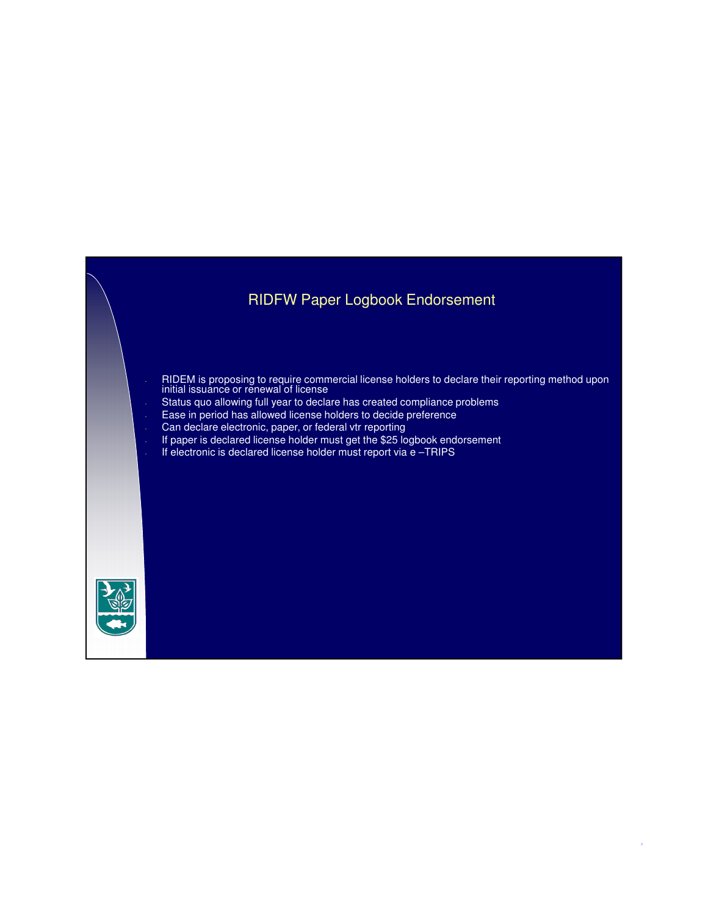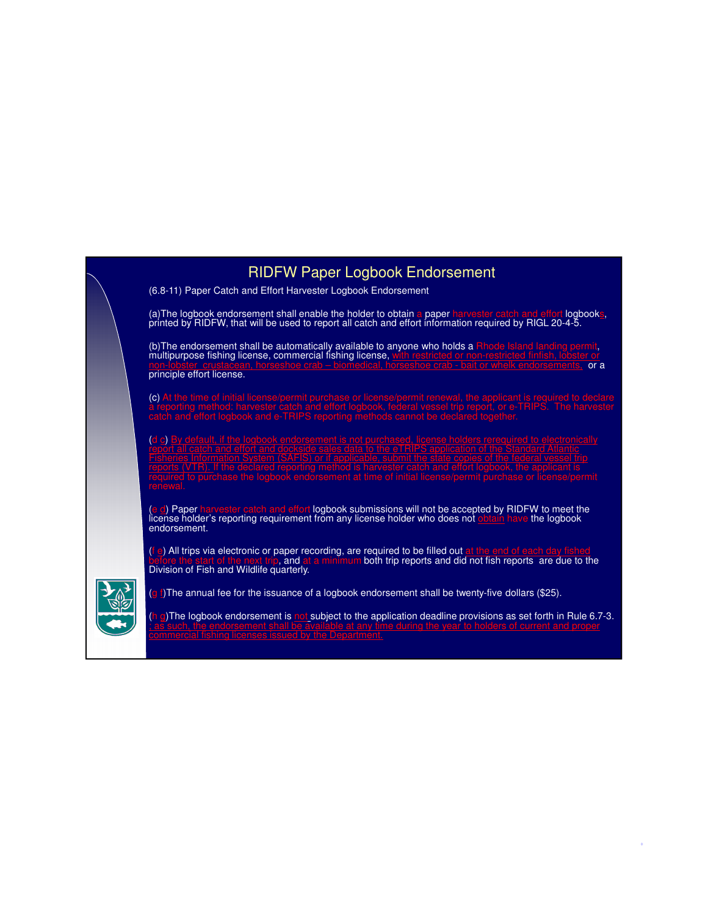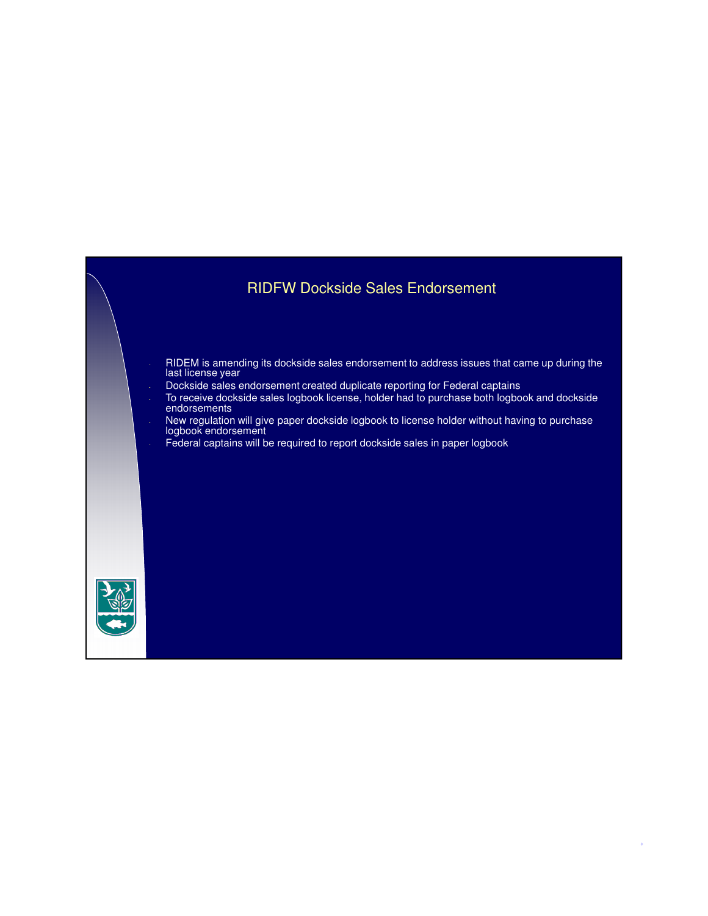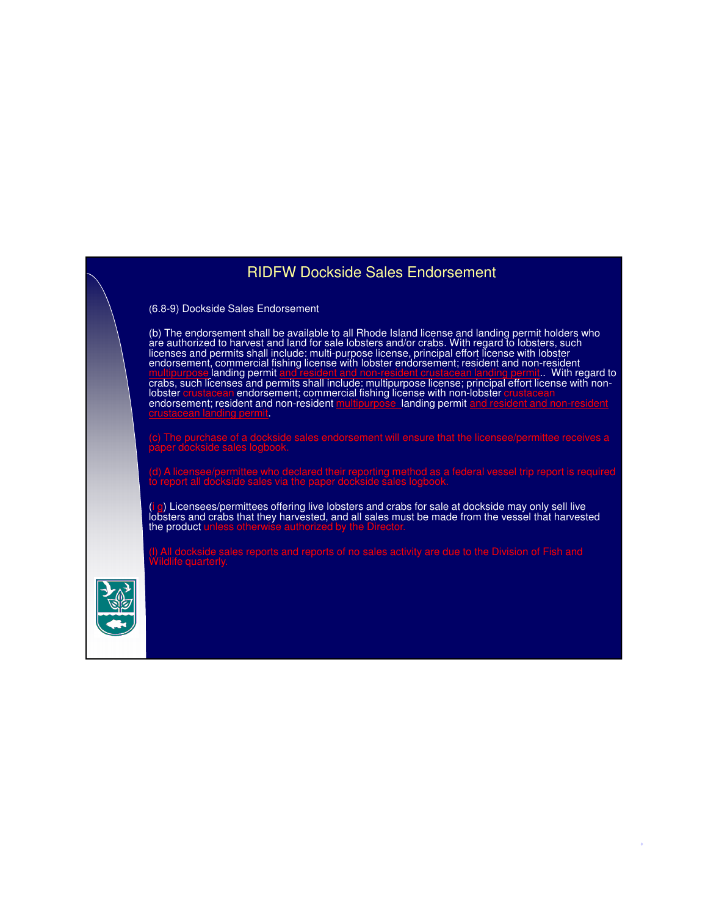# RIDFW Dockside Sales Endorsement

(6.8-9) Dockside Sales Endorsement

(b) The endorsement shall be available to all Rhode Island license and landing permit holders who are authorized to harvest and land for sale lobsters and/or crabs. With regard to lobsters, such licenses and permits shall include: multi-purpose license, principal effort license with lobster endorsement, commercial fishing license with lobster endorsement; resident and non-resident multipurpose landing permit and resident and non-resident crustacean landing permit.. With regard to crabs, such licenses and permits shall include: multipurpose license; principal effort license with nonlobster crustacean endorsement; commercial fishing license with non-lobster crustacean endorsement; resident and non-resident multipurpose landing permit and resident crustacean landing permit.

paper dockside sales logbook.

(i g) Licensees/permittees offering live lobsters and crabs for sale at dockside may only sell live lobsters and crabs that they harvested, and all sales must be made from the vessel that harvested the product unless otherwise authorized by the Director.

15

(l) All dockside sales reports and reports of no sales activity are due to the Division of Fish and

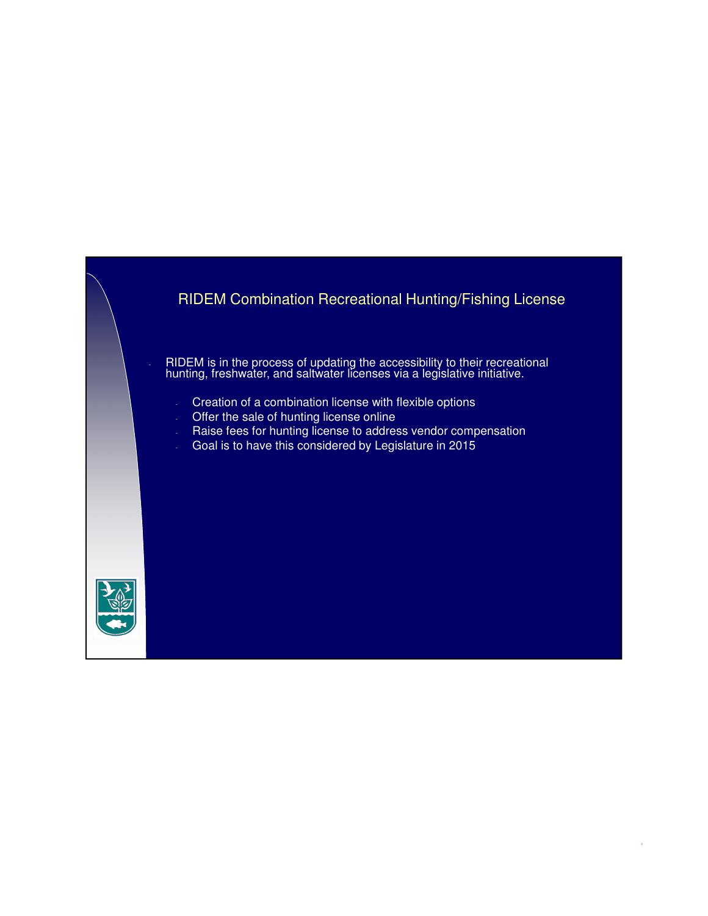